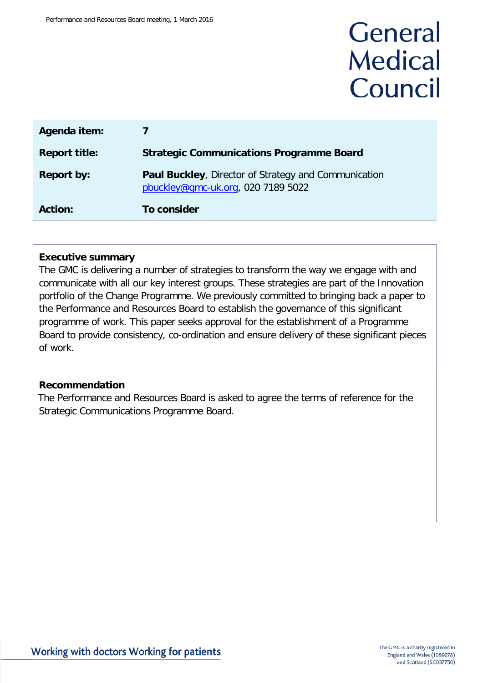# General **Medical** Council

| Agenda item:         |                                                                                                   |
|----------------------|---------------------------------------------------------------------------------------------------|
| <b>Report title:</b> | <b>Strategic Communications Programme Board</b>                                                   |
| <b>Report by:</b>    | <b>Paul Buckley, Director of Strategy and Communication</b><br>pbuckley@gmc-uk.org, 020 7189 5022 |
| <b>Action:</b>       | To consider                                                                                       |

#### **Executive summary**

The GMC is delivering a number of strategies to transform the way we engage with and communicate with all our key interest groups. These strategies are part of the Innovation portfolio of the Change Programme. We previously committed to bringing back a paper to the Performance and Resources Board to establish the governance of this significant programme of work. This paper seeks approval for the establishment of a Programme Board to provide consistency, co-ordination and ensure delivery of these significant pieces of work.

#### **Recommendation**

The Performance and Resources Board is asked to agree the terms of reference for the Strategic Communications Programme Board.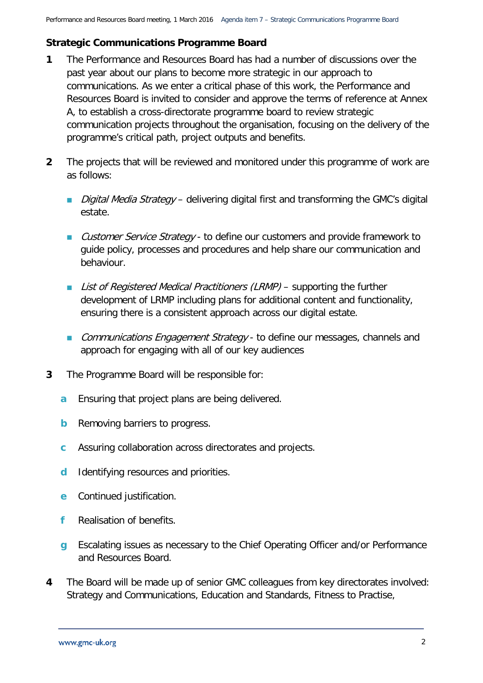## **Strategic Communications Programme Board**

- **1** The Performance and Resources Board has had a number of discussions over the past year about our plans to become more strategic in our approach to communications. As we enter a critical phase of this work, the Performance and Resources Board is invited to consider and approve the terms of reference at Annex A, to establish a cross-directorate programme board to review strategic communication projects throughout the organisation, focusing on the delivery of the programme's critical path, project outputs and benefits.
- **2** The projects that will be reviewed and monitored under this programme of work are as follows:
	- *Digital Media Strategy* delivering digital first and transforming the GMC's digital estate.
	- Customer Service Strategy to define our customers and provide framework to guide policy, processes and procedures and help share our communication and behaviour.
	- List of Registered Medical Practitioners (LRMP) supporting the further development of LRMP including plans for additional content and functionality, ensuring there is a consistent approach across our digital estate.
	- **Communications Engagement Strategy to define our messages, channels and** approach for engaging with all of our key audiences
- **3** The Programme Board will be responsible for:
	- **a** Ensuring that project plans are being delivered.
	- **b** Removing barriers to progress.
	- **c** Assuring collaboration across directorates and projects.
	- **d** Identifying resources and priorities.
	- **e** Continued justification.
	- **f** Realisation of benefits.
	- **g** Escalating issues as necessary to the Chief Operating Officer and/or Performance and Resources Board.
- **4** The Board will be made up of senior GMC colleagues from key directorates involved: Strategy and Communications, Education and Standards, Fitness to Practise,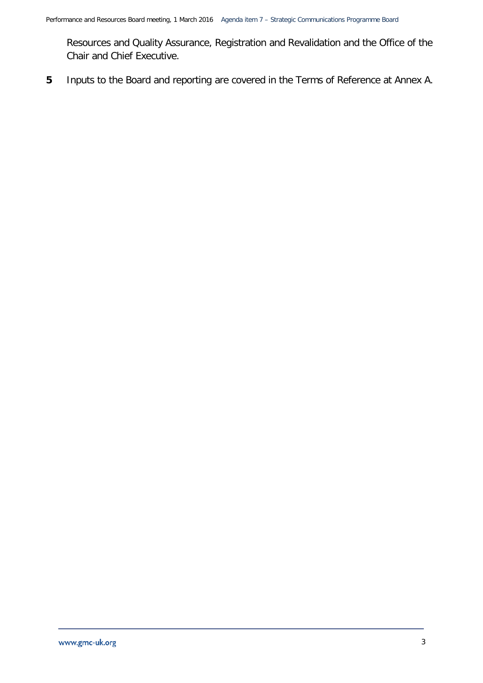Resources and Quality Assurance, Registration and Revalidation and the Office of the Chair and Chief Executive.

**5** Inputs to the Board and reporting are covered in the Terms of Reference at Annex A.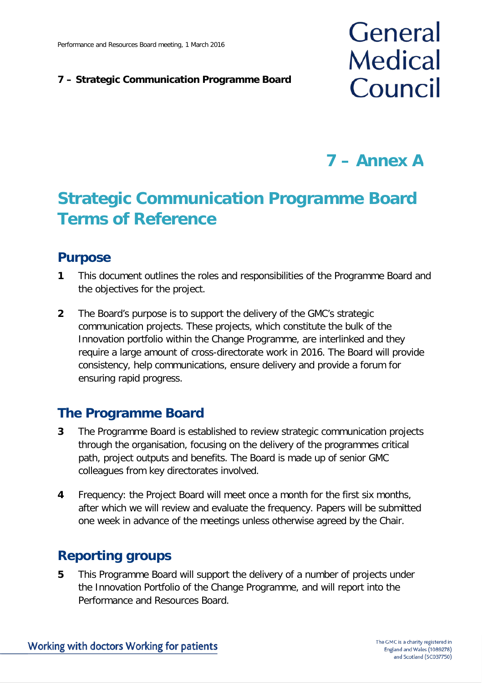#### **7 – Strategic Communication Programme Board**

# General **Medical** Council

**7 – Annex A**

# **Strategic Communication Programme Board Terms of Reference**

## **Purpose**

- **1** This document outlines the roles and responsibilities of the Programme Board and the objectives for the project.
- **2** The Board's purpose is to support the delivery of the GMC's strategic communication projects. These projects, which constitute the bulk of the Innovation portfolio within the Change Programme, are interlinked and they require a large amount of cross-directorate work in 2016. The Board will provide consistency, help communications, ensure delivery and provide a forum for ensuring rapid progress.

# **The Programme Board**

- **3** The Programme Board is established to review strategic communication projects through the organisation, focusing on the delivery of the programmes critical path, project outputs and benefits. The Board is made up of senior GMC colleagues from key directorates involved.
- **4** Frequency: the Project Board will meet once a month for the first six months, after which we will review and evaluate the frequency. Papers will be submitted one week in advance of the meetings unless otherwise agreed by the Chair.

# **Reporting groups**

**5** This Programme Board will support the delivery of a number of projects under the Innovation Portfolio of the Change Programme, and will report into the Performance and Resources Board.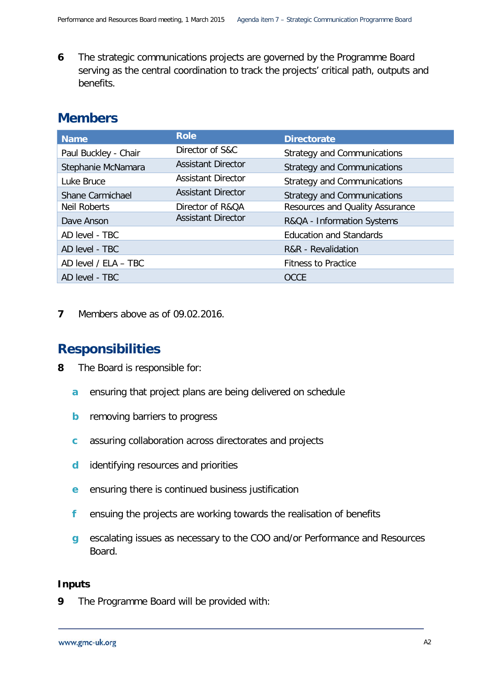**6** The strategic communications projects are governed by the Programme Board serving as the central coordination to track the projects' critical path, outputs and benefits.

## **Members**

| <b>Name</b>             | <b>Role</b>               | <b>Directorate</b>                 |
|-------------------------|---------------------------|------------------------------------|
| Paul Buckley - Chair    | Director of S&C           | <b>Strategy and Communications</b> |
| Stephanie McNamara      | <b>Assistant Director</b> | <b>Strategy and Communications</b> |
| Luke Bruce              | <b>Assistant Director</b> | <b>Strategy and Communications</b> |
| <b>Shane Carmichael</b> | <b>Assistant Director</b> | <b>Strategy and Communications</b> |
| <b>Neil Roberts</b>     | Director of R&QA          | Resources and Quality Assurance    |
| Dave Anson              | <b>Assistant Director</b> | R&QA - Information Systems         |
| AD level - TBC          |                           | <b>Education and Standards</b>     |
| AD level - TBC          |                           | R&R - Revalidation                 |
| AD level / ELA - TBC    |                           | <b>Fitness to Practice</b>         |
| AD level - TBC          |                           | <b>OCCE</b>                        |

**7** Members above as of 09.02.2016.

## **Responsibilities**

- **8** The Board is responsible for:
	- **a** ensuring that project plans are being delivered on schedule
	- **b** removing barriers to progress
	- **c** assuring collaboration across directorates and projects
	- **d** identifying resources and priorities
	- **e** ensuring there is continued business justification
	- **f** ensuing the projects are working towards the realisation of benefits
	- **g** escalating issues as necessary to the COO and/or Performance and Resources Board.

#### **Inputs**

**9** The Programme Board will be provided with: